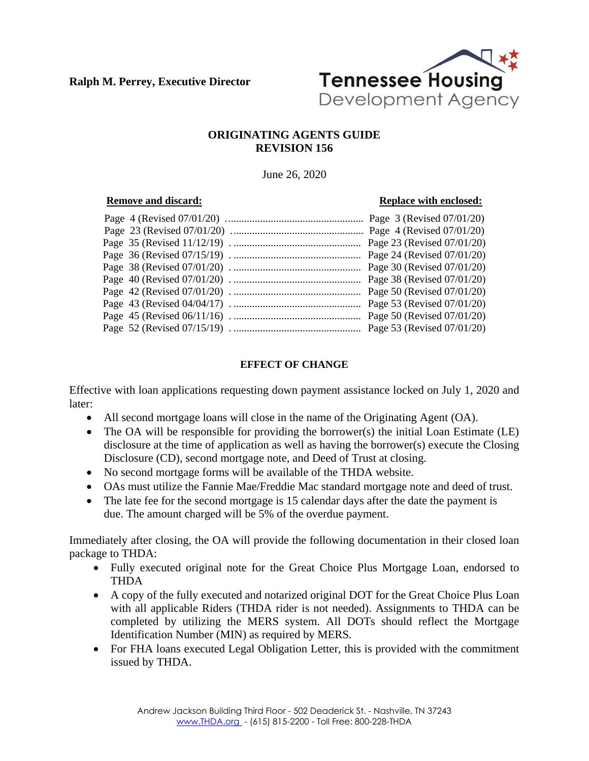

## **ORIGINATING AGENTS GUIDE REVISION 156**

June 26, 2020

### **Remove and discard: Replace with enclosed:**

# **EFFECT OF CHANGE**

Effective with loan applications requesting down payment assistance locked on July 1, 2020 and later:

- All second mortgage loans will close in the name of the Originating Agent (OA).
- The OA will be responsible for providing the borrower(s) the initial Loan Estimate (LE) disclosure at the time of application as well as having the borrower(s) execute the Closing Disclosure (CD), second mortgage note, and Deed of Trust at closing.
- No second mortgage forms will be available of the THDA website.
- OAs must utilize the Fannie Mae/Freddie Mac standard mortgage note and deed of trust.
- The late fee for the second mortgage is 15 calendar days after the date the payment is due. The amount charged will be 5% of the overdue payment.

Immediately after closing, the OA will provide the following documentation in their closed loan package to THDA:

- Fully executed original note for the Great Choice Plus Mortgage Loan, endorsed to THDA
- A copy of the fully executed and notarized original DOT for the Great Choice Plus Loan with all applicable Riders (THDA rider is not needed). Assignments to THDA can be completed by utilizing the MERS system. All DOTs should reflect the Mortgage Identification Number (MIN) as required by MERS.
- For FHA loans executed Legal Obligation Letter, this is provided with the commitment issued by THDA.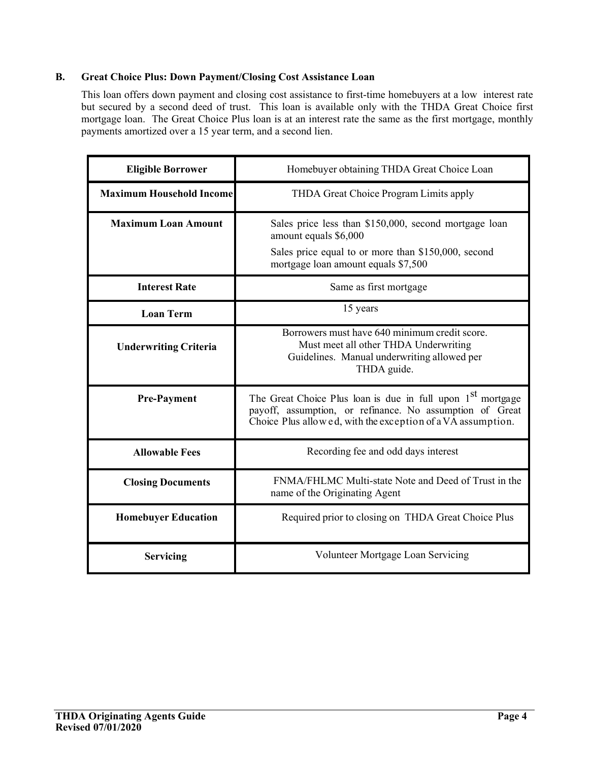## **B. Great Choice Plus: Down Payment/Closing Cost Assistance Loan**

This loan offers down payment and closing cost assistance to first-time homebuyers at a low interest rate but secured by a second deed of trust. This loan is available only with the THDA Great Choice first mortgage loan. The Great Choice Plus loan is at an interest rate the same as the first mortgage, monthly payments amortized over a 15 year term, and a second lien.

| <b>Eligible Borrower</b>        | Homebuyer obtaining THDA Great Choice Loan                                                                                                                                                         |  |
|---------------------------------|----------------------------------------------------------------------------------------------------------------------------------------------------------------------------------------------------|--|
| <b>Maximum Household Income</b> | THDA Great Choice Program Limits apply                                                                                                                                                             |  |
| <b>Maximum Loan Amount</b>      | Sales price less than \$150,000, second mortgage loan<br>amount equals \$6,000                                                                                                                     |  |
|                                 | Sales price equal to or more than \$150,000, second<br>mortgage loan amount equals \$7,500                                                                                                         |  |
| <b>Interest Rate</b>            | Same as first mortgage                                                                                                                                                                             |  |
| <b>Loan Term</b>                | 15 years                                                                                                                                                                                           |  |
| <b>Underwriting Criteria</b>    | Borrowers must have 640 minimum credit score.<br>Must meet all other THDA Underwriting<br>Guidelines. Manual underwriting allowed per<br>THDA guide.                                               |  |
| <b>Pre-Payment</b>              | The Great Choice Plus loan is due in full upon 1 <sup>st</sup> mortgage<br>payoff, assumption, or refinance. No assumption of Great<br>Choice Plus allowed, with the exception of a VA assumption. |  |
| <b>Allowable Fees</b>           | Recording fee and odd days interest                                                                                                                                                                |  |
| <b>Closing Documents</b>        | FNMA/FHLMC Multi-state Note and Deed of Trust in the<br>name of the Originating Agent                                                                                                              |  |
| <b>Homebuyer Education</b>      | Required prior to closing on THDA Great Choice Plus                                                                                                                                                |  |
| <b>Servicing</b>                | Volunteer Mortgage Loan Servicing                                                                                                                                                                  |  |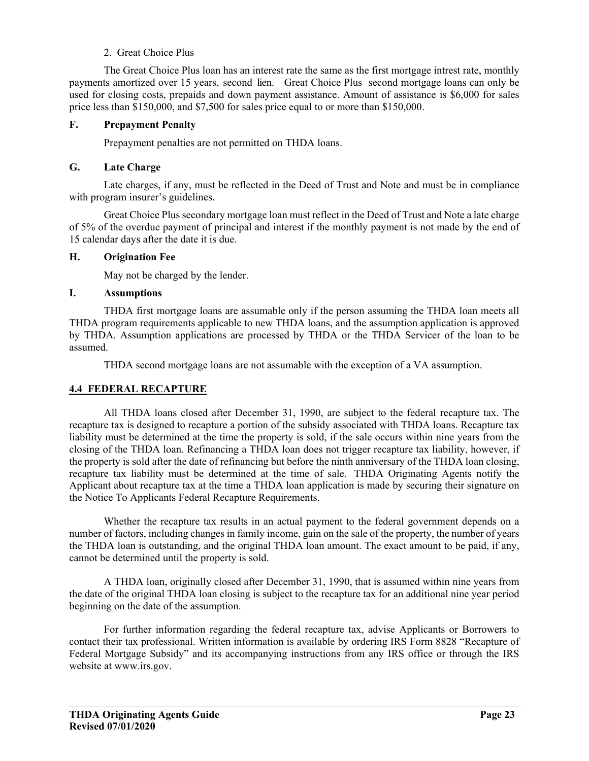## 2. Great Choice Plus

 The Great Choice Plus loan has an interest rate the same as the first mortgage intrest rate, monthly payments amortized over 15 years, second lien. Great Choice Plus second mortgage loans can only be used for closing costs, prepaids and down payment assistance. Amount of assistance is \$6,000 for sales price less than \$150,000, and \$7,500 for sales price equal to or more than \$150,000.

### **F. Prepayment Penalty**

Prepayment penalties are not permitted on THDA loans.

### **G. Late Charge**

Late charges, if any, must be reflected in the Deed of Trust and Note and must be in compliance with program insurer's guidelines.

Great Choice Plus secondary mortgage loan must reflect in the Deed of Trust and Note a late charge of 5% of the overdue payment of principal and interest if the monthly payment is not made by the end of 15 calendar days after the date it is due.

### **H. Origination Fee**

May not be charged by the lender.

### **I. Assumptions**

THDA first mortgage loans are assumable only if the person assuming the THDA loan meets all THDA program requirements applicable to new THDA loans, and the assumption application is approved by THDA. Assumption applications are processed by THDA or the THDA Servicer of the loan to be assumed.

THDA second mortgage loans are not assumable with the exception of a VA assumption.

## **4.4 FEDERAL RECAPTURE**

All THDA loans closed after December 31, 1990, are subject to the federal recapture tax. The recapture tax is designed to recapture a portion of the subsidy associated with THDA loans. Recapture tax liability must be determined at the time the property is sold, if the sale occurs within nine years from the closing of the THDA loan. Refinancing a THDA loan does not trigger recapture tax liability, however, if the property is sold after the date of refinancing but before the ninth anniversary of the THDA loan closing, recapture tax liability must be determined at the time of sale. THDA Originating Agents notify the Applicant about recapture tax at the time a THDA loan application is made by securing their signature on the Notice To Applicants Federal Recapture Requirements.

Whether the recapture tax results in an actual payment to the federal government depends on a number of factors, including changes in family income, gain on the sale of the property, the number of years the THDA loan is outstanding, and the original THDA loan amount. The exact amount to be paid, if any, cannot be determined until the property is sold.

A THDA loan, originally closed after December 31, 1990, that is assumed within nine years from the date of the original THDA loan closing is subject to the recapture tax for an additional nine year period beginning on the date of the assumption.

For further information regarding the federal recapture tax, advise Applicants or Borrowers to contact their tax professional. Written information is available by ordering IRS Form 8828 "Recapture of Federal Mortgage Subsidy" and its accompanying instructions from any IRS office or through the IRS website at www.irs.gov.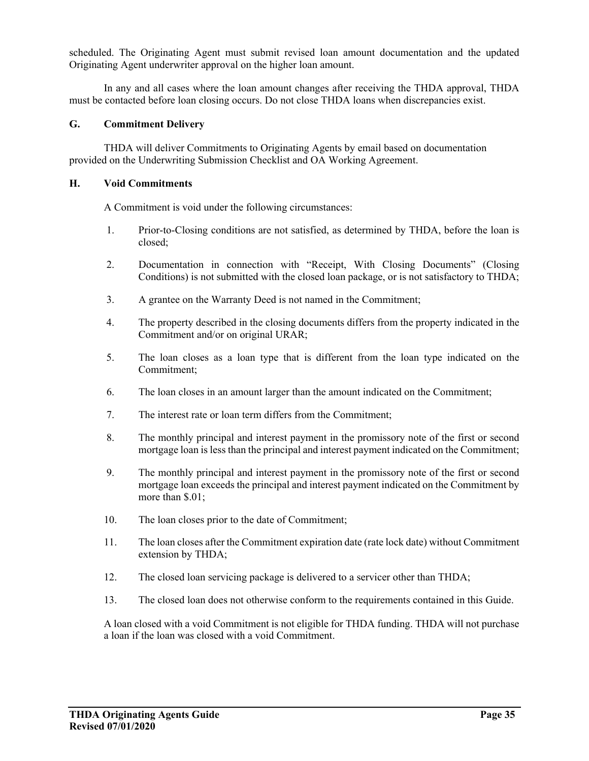scheduled. The Originating Agent must submit revised loan amount documentation and the updated Originating Agent underwriter approval on the higher loan amount.

In any and all cases where the loan amount changes after receiving the THDA approval, THDA must be contacted before loan closing occurs. Do not close THDA loans when discrepancies exist.

### **G. Commitment Delivery**

THDA will deliver Commitments to Originating Agents by email based on documentation provided on the Underwriting Submission Checklist and OA Working Agreement.

#### **H. Void Commitments**

A Commitment is void under the following circumstances:

- 1. Prior-to-Closing conditions are not satisfied, as determined by THDA, before the loan is closed;
- 2. Documentation in connection with "Receipt, With Closing Documents" (Closing Conditions) is not submitted with the closed loan package, or is not satisfactory to THDA;
- 3. A grantee on the Warranty Deed is not named in the Commitment;
- 4. The property described in the closing documents differs from the property indicated in the Commitment and/or on original URAR;
- 5. The loan closes as a loan type that is different from the loan type indicated on the Commitment;
- 6. The loan closes in an amount larger than the amount indicated on the Commitment;
- 7. The interest rate or loan term differs from the Commitment;
- 8. The monthly principal and interest payment in the promissory note of the first or second mortgage loan is less than the principal and interest payment indicated on the Commitment;
- 9. The monthly principal and interest payment in the promissory note of the first or second mortgage loan exceeds the principal and interest payment indicated on the Commitment by more than \$.01;
- 10. The loan closes prior to the date of Commitment;
- 11. The loan closes after the Commitment expiration date (rate lock date) without Commitment extension by THDA;
- 12. The closed loan servicing package is delivered to a servicer other than THDA;
- 13. The closed loan does not otherwise conform to the requirements contained in this Guide.

A loan closed with a void Commitment is not eligible for THDA funding. THDA will not purchase a loan if the loan was closed with a void Commitment.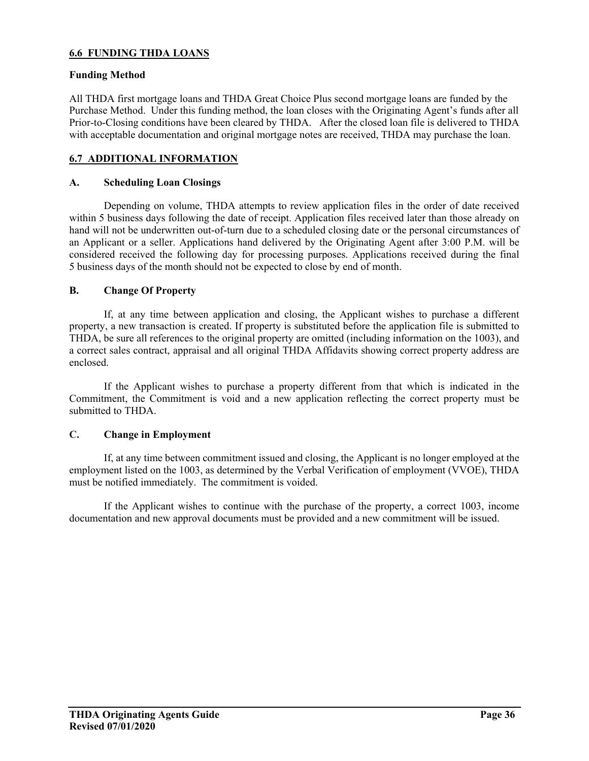## **6.6 FUNDING THDA LOANS**

#### **Funding Method**

All THDA first mortgage loans and THDA Great Choice Plus second mortgage loans are funded by the Purchase Method. Under this funding method, the loan closes with the Originating Agent's funds after all Prior-to-Closing conditions have been cleared by THDA. After the closed loan file is delivered to THDA with acceptable documentation and original mortgage notes are received, THDA may purchase the loan.

## **6.7 ADDITIONAL INFORMATION**

## **A. Scheduling Loan Closings**

Depending on volume, THDA attempts to review application files in the order of date received within 5 business days following the date of receipt. Application files received later than those already on hand will not be underwritten out-of-turn due to a scheduled closing date or the personal circumstances of an Applicant or a seller. Applications hand delivered by the Originating Agent after 3:00 P.M. will be considered received the following day for processing purposes. Applications received during the final 5 business days of the month should not be expected to close by end of month.

### **B. Change Of Property**

If, at any time between application and closing, the Applicant wishes to purchase a different property, a new transaction is created. If property is substituted before the application file is submitted to THDA, be sure all references to the original property are omitted (including information on the 1003), and a correct sales contract, appraisal and all original THDA Affidavits showing correct property address are enclosed.

If the Applicant wishes to purchase a property different from that which is indicated in the Commitment, the Commitment is void and a new application reflecting the correct property must be submitted to THDA.

#### **C. Change in Employment**

If, at any time between commitment issued and closing, the Applicant is no longer employed at the employment listed on the 1003, as determined by the Verbal Verification of employment (VVOE), THDA must be notified immediately. The commitment is voided.

 If the Applicant wishes to continue with the purchase of the property, a correct 1003, income documentation and new approval documents must be provided and a new commitment will be issued.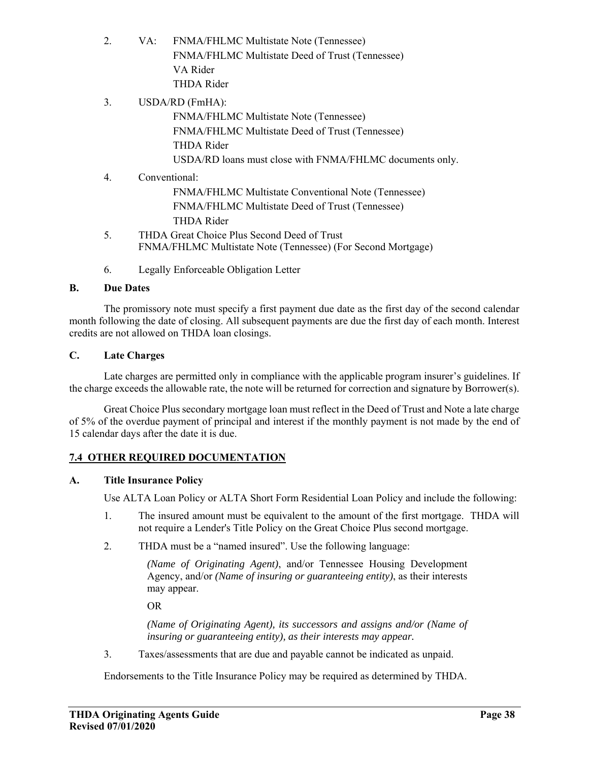- 2. VA: FNMA/FHLMC Multistate Note (Tennessee) FNMA/FHLMC Multistate Deed of Trust (Tennessee) VA Rider THDA Rider
- 3. USDA/RD (FmHA): FNMA/FHLMC Multistate Note (Tennessee) FNMA/FHLMC Multistate Deed of Trust (Tennessee) THDA Rider USDA/RD loans must close with FNMA/FHLMC documents only. 4. Conventional:
	- FNMA/FHLMC Multistate Conventional Note (Tennessee) FNMA/FHLMC Multistate Deed of Trust (Tennessee) THDA Rider
- 5. THDA Great Choice Plus Second Deed of Trust FNMA/FHLMC Multistate Note (Tennessee) (For Second Mortgage)
- 6. Legally Enforceable Obligation Letter

# **B. Due Dates**

The promissory note must specify a first payment due date as the first day of the second calendar month following the date of closing. All subsequent payments are due the first day of each month. Interest credits are not allowed on THDA loan closings.

# **C. Late Charges**

Late charges are permitted only in compliance with the applicable program insurer's guidelines. If the charge exceeds the allowable rate, the note will be returned for correction and signature by Borrower(s).

Great Choice Plus secondary mortgage loan must reflect in the Deed of Trust and Note a late charge of 5% of the overdue payment of principal and interest if the monthly payment is not made by the end of 15 calendar days after the date it is due.

# **7.4 OTHER REQUIRED DOCUMENTATION**

# **A. Title Insurance Policy**

Use ALTA Loan Policy or ALTA Short Form Residential Loan Policy and include the following:

- 1. The insured amount must be equivalent to the amount of the first mortgage. THDA will not require a Lender's Title Policy on the Great Choice Plus second mortgage.
- 2. THDA must be a "named insured". Use the following language:

*(Name of Originating Agent)*, and/or Tennessee Housing Development Agency, and/or *(Name of insuring or guaranteeing entity)*, as their interests may appear.

OR

*(Name of Originating Agent), its successors and assigns and/or (Name of insuring or guaranteeing entity), as their interests may appear.* 

3. Taxes/assessments that are due and payable cannot be indicated as unpaid.

Endorsements to the Title Insurance Policy may be required as determined by THDA.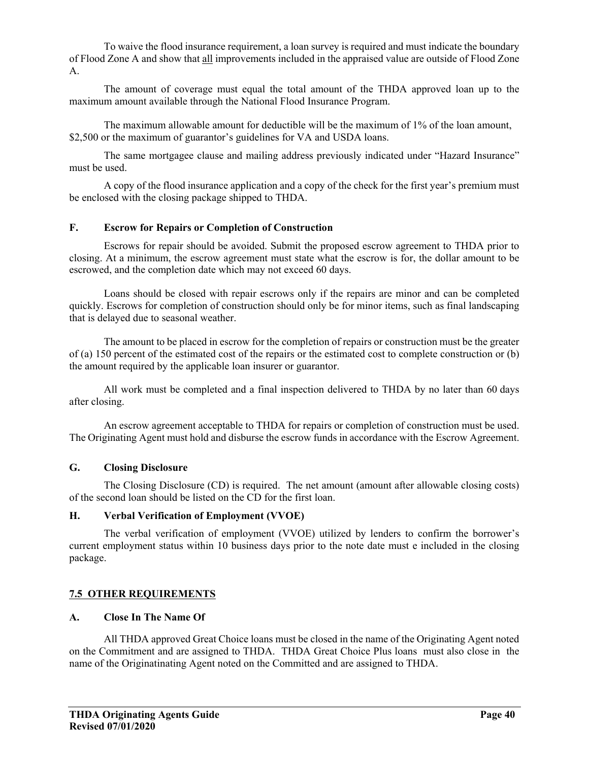To waive the flood insurance requirement, a loan survey is required and must indicate the boundary of Flood Zone A and show that all improvements included in the appraised value are outside of Flood Zone A.

The amount of coverage must equal the total amount of the THDA approved loan up to the maximum amount available through the National Flood Insurance Program.

The maximum allowable amount for deductible will be the maximum of 1% of the loan amount, \$2,500 or the maximum of guarantor's guidelines for VA and USDA loans.

The same mortgagee clause and mailing address previously indicated under "Hazard Insurance" must be used.

A copy of the flood insurance application and a copy of the check for the first year's premium must be enclosed with the closing package shipped to THDA.

## **F. Escrow for Repairs or Completion of Construction**

Escrows for repair should be avoided. Submit the proposed escrow agreement to THDA prior to closing. At a minimum, the escrow agreement must state what the escrow is for, the dollar amount to be escrowed, and the completion date which may not exceed 60 days.

Loans should be closed with repair escrows only if the repairs are minor and can be completed quickly. Escrows for completion of construction should only be for minor items, such as final landscaping that is delayed due to seasonal weather.

The amount to be placed in escrow for the completion of repairs or construction must be the greater of (a) 150 percent of the estimated cost of the repairs or the estimated cost to complete construction or (b) the amount required by the applicable loan insurer or guarantor.

All work must be completed and a final inspection delivered to THDA by no later than 60 days after closing.

An escrow agreement acceptable to THDA for repairs or completion of construction must be used. The Originating Agent must hold and disburse the escrow funds in accordance with the Escrow Agreement.

#### **G. Closing Disclosure**

The Closing Disclosure (CD) is required. The net amount (amount after allowable closing costs) of the second loan should be listed on the CD for the first loan.

#### **H. Verbal Verification of Employment (VVOE)**

The verbal verification of employment (VVOE) utilized by lenders to confirm the borrower's current employment status within 10 business days prior to the note date must e included in the closing package.

## **7.5 OTHER REQUIREMENTS**

## **A. Close In The Name Of**

All THDA approved Great Choice loans must be closed in the name of the Originating Agent noted on the Commitment and are assigned to THDA. THDA Great Choice Plus loans must also close in the name of the Originatinating Agent noted on the Committed and are assigned to THDA.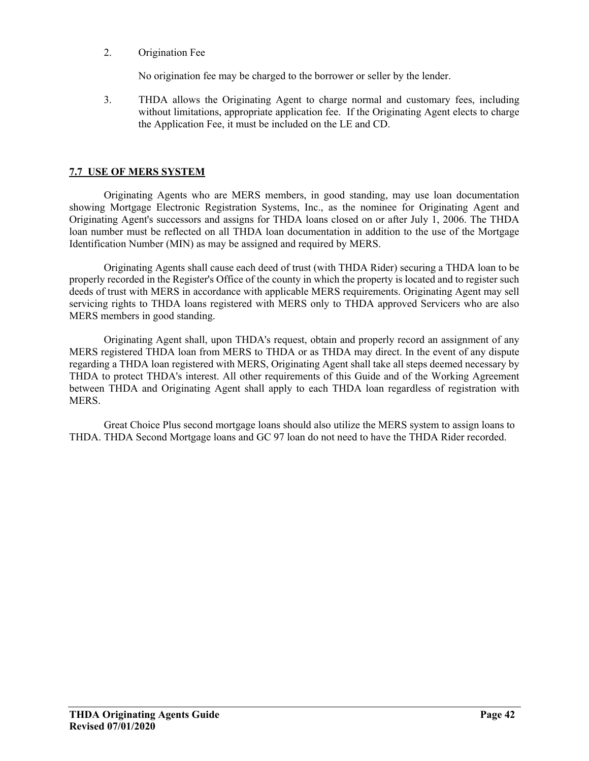2. Origination Fee

No origination fee may be charged to the borrower or seller by the lender.

3. THDA allows the Originating Agent to charge normal and customary fees, including without limitations, appropriate application fee. If the Originating Agent elects to charge the Application Fee, it must be included on the LE and CD.

## **7.7 USE OF MERS SYSTEM**

Originating Agents who are MERS members, in good standing, may use loan documentation showing Mortgage Electronic Registration Systems, Inc., as the nominee for Originating Agent and Originating Agent's successors and assigns for THDA loans closed on or after July 1, 2006. The THDA loan number must be reflected on all THDA loan documentation in addition to the use of the Mortgage Identification Number (MIN) as may be assigned and required by MERS.

Originating Agents shall cause each deed of trust (with THDA Rider) securing a THDA loan to be properly recorded in the Register's Office of the county in which the property is located and to register such deeds of trust with MERS in accordance with applicable MERS requirements. Originating Agent may sell servicing rights to THDA loans registered with MERS only to THDA approved Servicers who are also MERS members in good standing.

Originating Agent shall, upon THDA's request, obtain and properly record an assignment of any MERS registered THDA loan from MERS to THDA or as THDA may direct. In the event of any dispute regarding a THDA loan registered with MERS, Originating Agent shall take all steps deemed necessary by THDA to protect THDA's interest. All other requirements of this Guide and of the Working Agreement between THDA and Originating Agent shall apply to each THDA loan regardless of registration with MERS.

Great Choice Plus second mortgage loans should also utilize the MERS system to assign loans to THDA. THDA Second Mortgage loans and GC 97 loan do not need to have the THDA Rider recorded.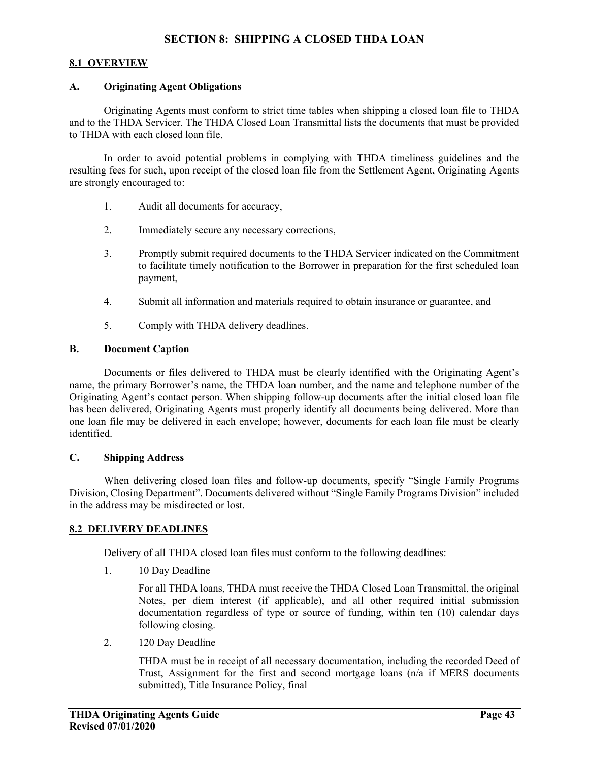## **8.1 OVERVIEW**

#### **A. Originating Agent Obligations**

Originating Agents must conform to strict time tables when shipping a closed loan file to THDA and to the THDA Servicer. The THDA Closed Loan Transmittal lists the documents that must be provided to THDA with each closed loan file.

In order to avoid potential problems in complying with THDA timeliness guidelines and the resulting fees for such, upon receipt of the closed loan file from the Settlement Agent, Originating Agents are strongly encouraged to:

- 1. Audit all documents for accuracy,
- 2. Immediately secure any necessary corrections,
- 3. Promptly submit required documents to the THDA Servicer indicated on the Commitment to facilitate timely notification to the Borrower in preparation for the first scheduled loan payment,
- 4. Submit all information and materials required to obtain insurance or guarantee, and
- 5. Comply with THDA delivery deadlines.

#### **B. Document Caption**

Documents or files delivered to THDA must be clearly identified with the Originating Agent's name, the primary Borrower's name, the THDA loan number, and the name and telephone number of the Originating Agent's contact person. When shipping follow-up documents after the initial closed loan file has been delivered, Originating Agents must properly identify all documents being delivered. More than one loan file may be delivered in each envelope; however, documents for each loan file must be clearly identified.

### **C. Shipping Address**

When delivering closed loan files and follow-up documents, specify "Single Family Programs Division, Closing Department". Documents delivered without "Single Family Programs Division" included in the address may be misdirected or lost.

#### **8.2 DELIVERY DEADLINES**

Delivery of all THDA closed loan files must conform to the following deadlines:

1. 10 Day Deadline

For all THDA loans, THDA must receive the THDA Closed Loan Transmittal, the original Notes, per diem interest (if applicable), and all other required initial submission documentation regardless of type or source of funding, within ten (10) calendar days following closing.

2. 120 Day Deadline

THDA must be in receipt of all necessary documentation, including the recorded Deed of Trust, Assignment for the first and second mortgage loans (n/a if MERS documents submitted), Title Insurance Policy, final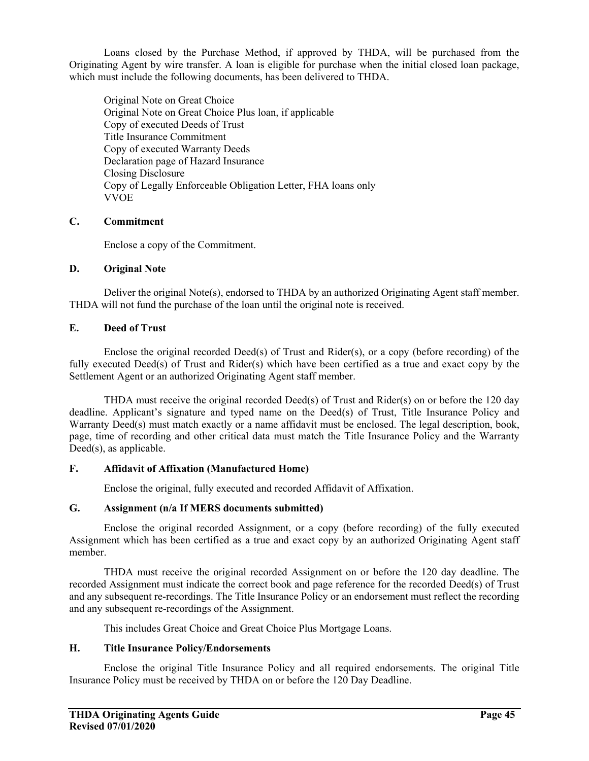Loans closed by the Purchase Method, if approved by THDA, will be purchased from the Originating Agent by wire transfer. A loan is eligible for purchase when the initial closed loan package, which must include the following documents, has been delivered to THDA.

Original Note on Great Choice Original Note on Great Choice Plus loan, if applicable Copy of executed Deeds of Trust Title Insurance Commitment Copy of executed Warranty Deeds Declaration page of Hazard Insurance Closing Disclosure Copy of Legally Enforceable Obligation Letter, FHA loans only VVOE

## **C. Commitment**

Enclose a copy of the Commitment.

## **D. Original Note**

Deliver the original Note(s), endorsed to THDA by an authorized Originating Agent staff member. THDA will not fund the purchase of the loan until the original note is received.

## **E. Deed of Trust**

Enclose the original recorded Deed(s) of Trust and Rider(s), or a copy (before recording) of the fully executed Deed(s) of Trust and Rider(s) which have been certified as a true and exact copy by the Settlement Agent or an authorized Originating Agent staff member.

THDA must receive the original recorded Deed(s) of Trust and Rider(s) on or before the 120 day deadline. Applicant's signature and typed name on the Deed(s) of Trust, Title Insurance Policy and Warranty Deed(s) must match exactly or a name affidavit must be enclosed. The legal description, book, page, time of recording and other critical data must match the Title Insurance Policy and the Warranty Deed(s), as applicable.

# **F. Affidavit of Affixation (Manufactured Home)**

Enclose the original, fully executed and recorded Affidavit of Affixation.

## **G. Assignment (n/a If MERS documents submitted)**

Enclose the original recorded Assignment, or a copy (before recording) of the fully executed Assignment which has been certified as a true and exact copy by an authorized Originating Agent staff member.

THDA must receive the original recorded Assignment on or before the 120 day deadline. The recorded Assignment must indicate the correct book and page reference for the recorded Deed(s) of Trust and any subsequent re-recordings. The Title Insurance Policy or an endorsement must reflect the recording and any subsequent re-recordings of the Assignment.

This includes Great Choice and Great Choice Plus Mortgage Loans.

## **H. Title Insurance Policy/Endorsements**

Enclose the original Title Insurance Policy and all required endorsements. The original Title Insurance Policy must be received by THDA on or before the 120 Day Deadline.